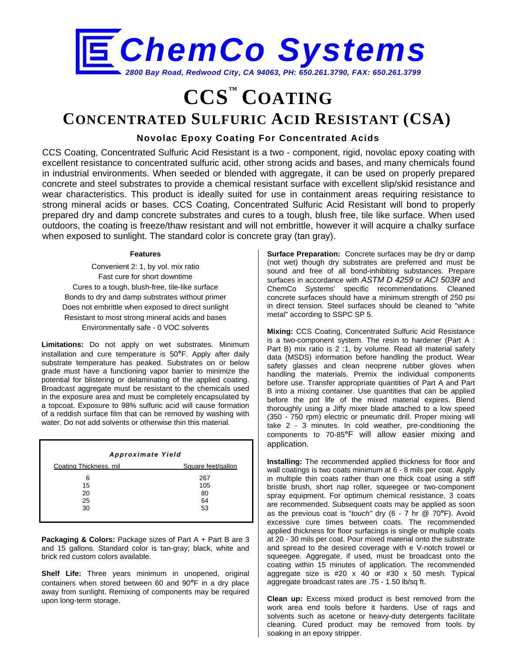

# **CCS™ COATING CONCENTRATED SULFURIC ACID RESISTANT (CSA)**

## **Novolac Epoxy Coating For Concentrated Acids**

CCS Coating, Concentrated Sulfuric Acid Resistant is a two - component, rigid, novolac epoxy coating with excellent resistance to concentrated sulfuric acid, other strong acids and bases, and many chemicals found in industrial environments. When seeded or blended with aggregate, it can be used on properly prepared concrete and steel substrates to provide a chemical resistant surface with excellent slip/skid resistance and wear characteristics. This product is ideally suited for use in containment areas requiring resistance to strong mineral acids or bases. CCS Coating, Concentrated Sulfuric Acid Resistant will bond to properly prepared dry and damp concrete substrates and cures to a tough, blush free, tile like surface. When used outdoors, the coating is freeze/thaw resistant and will not embrittle, however it will acquire a chalky surface when exposed to sunlight. The standard color is concrete gray (tan gray).

#### **Features**

Convenient 2: 1, by vol. mix ratio Fast cure for short downtime Cures to a tough, blush-free, tile-like surface Bonds to dry and damp substrates without primer Does not embrittle when exposed to direct sunlight Resistant to most strong mineral acids and bases Environmentally safe - 0 VOC solvents

**Limitations:** Do not apply on wet substrates. Minimum installation and cure temperature is 50**°**F. Apply after daily substrate temperature has peaked. Substrates on or below grade must have a functioning vapor barrier to minimize the potential for blistering or delaminating of the applied coating. Broadcast aggregate must be resistant to the chemicals used in the exposure area and must be completely encapsulated by a topcoat. Exposure to 98% sulfuric acid will cause formation of a reddish surface film that can be removed by washing with water. Do not add solvents or otherwise thin this material.

| Approximate Yield         |                              |  |  |  |  |
|---------------------------|------------------------------|--|--|--|--|
| Coating Thickness, mil.   | Square feet/gallon           |  |  |  |  |
| 6<br>15<br>20<br>25<br>30 | 267<br>105<br>80<br>64<br>53 |  |  |  |  |

**Packaging & Colors:** Package sizes of Part A + Part B are 3 and 15 gallons. Standard color is tan-gray; black, white and brick red custom colors available.

**Shelf Life:** Three years minimum in unopened, original containers when stored between 60 and 90**°**F in a dry place away from sunlight. Remixing of components may be required upon long-term storage.

**Surface Preparation:** Concrete surfaces may be dry or damp (not wet) though dry substrates are preferred and must be sound and free of all bond-inhibiting substances. Prepare surfaces in accordance with *ASTM D 4259* or *ACI 503R* and ChemCo Systems' specific recommendations. Cleaned concrete surfaces should have a minimum strength of 250 psi in direct tension. Steel surfaces should be cleaned to "white metal" according to SSPC SP 5.

**Mixing:** CCS Coating, Concentrated Sulfuric Acid Resistance is a two-component system. The resin to hardener (Part A : Part B) mix ratio is 2 :1, by volume. Read all material safety data (MSDS) information before handling the product. Wear safety glasses and clean neoprene rubber gloves when handling the materials. Premix the individual components before use. Transfer appropriate quantities of Part A and Part B into a mixing container. Use quantities that can be applied before the pot life of the mixed material expires. Blend thoroughly using a Jiffy mixer blade attached to a low speed (350 - 750 rpm) electric or pneumatic drill. Proper mixing will take 2 - 3 minutes. In cold weather, pre-conditioning the components to 70-85**°**F will allow easier mixing and application.

**Installing:** The recommended applied thickness for floor and wall coatings is two coats minimum at 6 - 8 mils per coat. Apply in multiple thin coats rather than one thick coat using a stiff bristle brush, short nap roller, squeegee or two-component spray equipment. For optimum chemical resistance, 3 coats are recommended. Subsequent coats may be applied as soon as the previous coat is "*touch"* dry (6 - 7 hr @ 70**°**F). Avoid excessive cure times between coats. The recommended applied thickness for floor surfacings is single or multiple coats at 20 - 30 mils per coat. Pour mixed material onto the substrate and spread to the desired coverage with e V-notch trowel or squeegee. Aggregate, if used, must be broadcast onto the coating within 15 minutes of application. The recommended aggregate size is #20 x 40 or #30 x 50 mesh. Typical aggregate broadcast rates are .75 - 1.50 lb/sq ft.

**Clean up:** Excess mixed product is best removed from the work area end tools before it hardens. Use of rags and solvents such as acetone or heavy-duty detergents facilitate cleaning. Cured product may be removed from tools by soaking in an epoxy stripper.